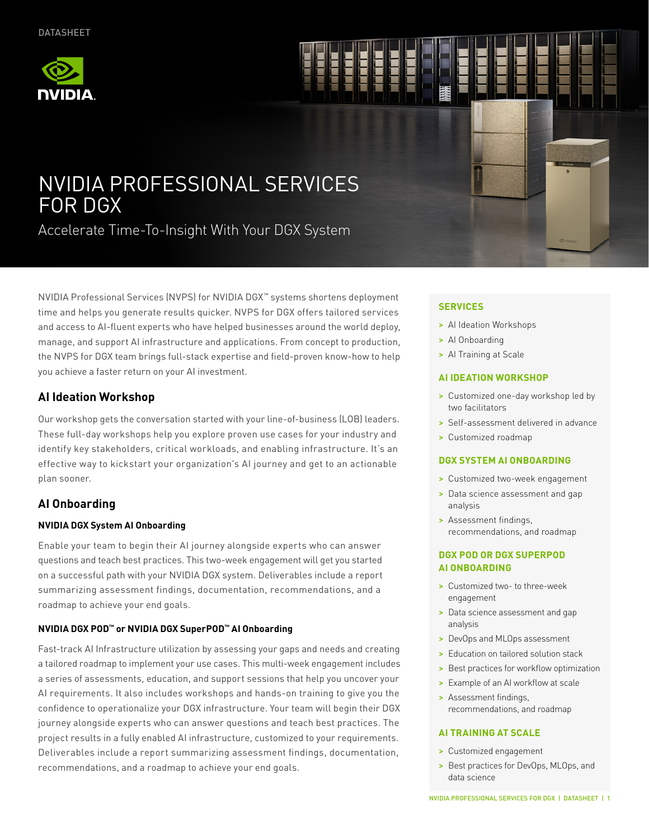

# NVIDIA PROFESSIONAL SERVICES FOR DGX

Accelerate Time-To-Insight With Your DGX System

NVIDIA Professional Services (NVPS) for NVIDIA DGX™ systems shortens deployment time and helps you generate results quicker. NVPS for DGX offers tailored services and access to AI-fluent experts who have helped businesses around the world deploy, manage, and support AI infrastructure and applications. From concept to production, the NVPS for DGX team brings full-stack expertise and field-proven know-how to help you achieve a faster return on your AI investment.

# **AI Ideation Workshop**

Our workshop gets the conversation started with your line-of-business (LOB) leaders. These full-day workshops help you explore proven use cases for your industry and identify key stakeholders, critical workloads, and enabling infrastructure. It's an effective way to kickstart your organization's AI journey and get to an actionable plan sooner.

# **AI Onboarding**

## **NVIDIA DGX System AI Onboarding**

Enable your team to begin their AI journey alongside experts who can answer questions and teach best practices. This two-week engagement will get you started on a successful path with your NVIDIA DGX system. Deliverables include a report summarizing assessment findings, documentation, recommendations, and a roadmap to achieve your end goals.

## **NVIDIA DGX POD™ or NVIDIA DGX SuperPOD™ AI Onboarding**

Fast-track AI Infrastructure utilization by assessing your gaps and needs and creating a tailored roadmap to implement your use cases. This multi-week engagement includes a series of assessments, education, and support sessions that help you uncover your AI requirements. It also includes workshops and hands-on training to give you the confidence to operationalize your DGX infrastructure. Your team will begin their DGX journey alongside experts who can answer questions and teach best practices. The project results in a fully enabled AI infrastructure, customized to your requirements. Deliverables include a report summarizing assessment findings, documentation, recommendations, and a roadmap to achieve your end goals.

### **SERVICES**

- > AI Ideation Workshops
- > AI Onboarding
- > Al Training at Scale

#### **AI IDEATION WORKSHOP**

- > Customized one-day workshop led by two facilitators
- > Self-assessment delivered in advance
- > Customized roadmap

#### **DGX SYSTEM AI ONBOARDING**

- > Customized two-week engagement
- > Data science assessment and gap analysis
- > Assessment findings, recommendations, and roadmap

#### **DGX POD OR DGX SUPERPOD AI ONBOARDING**

- > Customized two- to three-week engagement
- > Data science assessment and gap analysis
- > DevOps and MLOps assessment
- > Education on tailored solution stack
- > Best practices for workflow optimization
- > Example of an AI workflow at scale
- > Assessment findings, recommendations, and roadmap

#### **AI TRAINING AT SCALE**

- > Customized engagement
- > Best practices for DevOps, MLOps, and data science